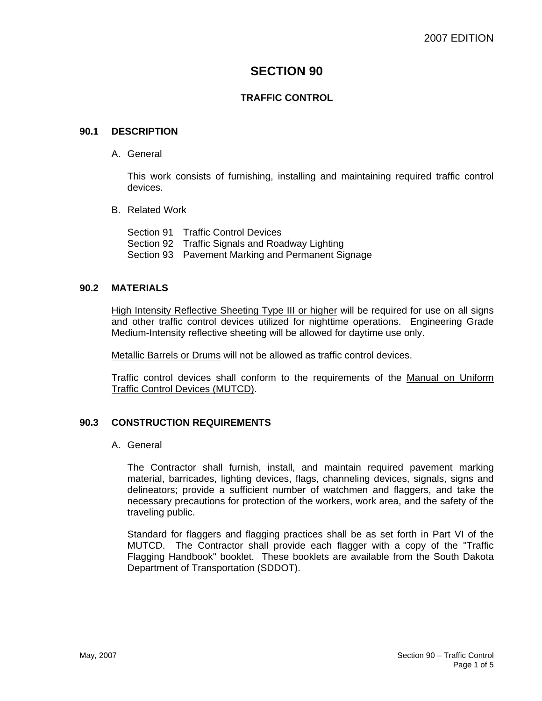# **SECTION 90**

## **TRAFFIC CONTROL**

#### **90.1 DESCRIPTION**

A. General

This work consists of furnishing, installing and maintaining required traffic control devices.

B. Related Work

Section 91 Traffic Control Devices Section 92 Traffic Signals and Roadway Lighting Section 93 Pavement Marking and Permanent Signage

### **90.2 MATERIALS**

High Intensity Reflective Sheeting Type III or higher will be required for use on all signs and other traffic control devices utilized for nighttime operations. Engineering Grade Medium-Intensity reflective sheeting will be allowed for daytime use only.

Metallic Barrels or Drums will not be allowed as traffic control devices.

Traffic control devices shall conform to the requirements of the Manual on Uniform Traffic Control Devices (MUTCD).

### **90.3 CONSTRUCTION REQUIREMENTS**

#### A. General

The Contractor shall furnish, install, and maintain required pavement marking material, barricades, lighting devices, flags, channeling devices, signals, signs and delineators; provide a sufficient number of watchmen and flaggers, and take the necessary precautions for protection of the workers, work area, and the safety of the traveling public.

Standard for flaggers and flagging practices shall be as set forth in Part VI of the MUTCD. The Contractor shall provide each flagger with a copy of the "Traffic Flagging Handbook" booklet. These booklets are available from the South Dakota Department of Transportation (SDDOT).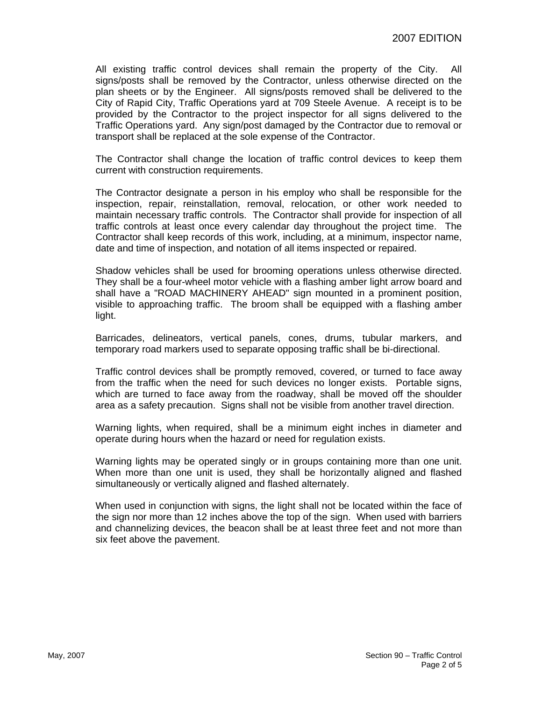All existing traffic control devices shall remain the property of the City. All signs/posts shall be removed by the Contractor, unless otherwise directed on the plan sheets or by the Engineer. All signs/posts removed shall be delivered to the City of Rapid City, Traffic Operations yard at 709 Steele Avenue. A receipt is to be provided by the Contractor to the project inspector for all signs delivered to the Traffic Operations yard. Any sign/post damaged by the Contractor due to removal or transport shall be replaced at the sole expense of the Contractor.

The Contractor shall change the location of traffic control devices to keep them current with construction requirements.

The Contractor designate a person in his employ who shall be responsible for the inspection, repair, reinstallation, removal, relocation, or other work needed to maintain necessary traffic controls. The Contractor shall provide for inspection of all traffic controls at least once every calendar day throughout the project time. The Contractor shall keep records of this work, including, at a minimum, inspector name, date and time of inspection, and notation of all items inspected or repaired.

Shadow vehicles shall be used for brooming operations unless otherwise directed. They shall be a four-wheel motor vehicle with a flashing amber light arrow board and shall have a "ROAD MACHINERY AHEAD" sign mounted in a prominent position, visible to approaching traffic. The broom shall be equipped with a flashing amber light.

Barricades, delineators, vertical panels, cones, drums, tubular markers, and temporary road markers used to separate opposing traffic shall be bi-directional.

Traffic control devices shall be promptly removed, covered, or turned to face away from the traffic when the need for such devices no longer exists. Portable signs, which are turned to face away from the roadway, shall be moved off the shoulder area as a safety precaution. Signs shall not be visible from another travel direction.

Warning lights, when required, shall be a minimum eight inches in diameter and operate during hours when the hazard or need for regulation exists.

Warning lights may be operated singly or in groups containing more than one unit. When more than one unit is used, they shall be horizontally aligned and flashed simultaneously or vertically aligned and flashed alternately.

When used in conjunction with signs, the light shall not be located within the face of the sign nor more than 12 inches above the top of the sign. When used with barriers and channelizing devices, the beacon shall be at least three feet and not more than six feet above the pavement.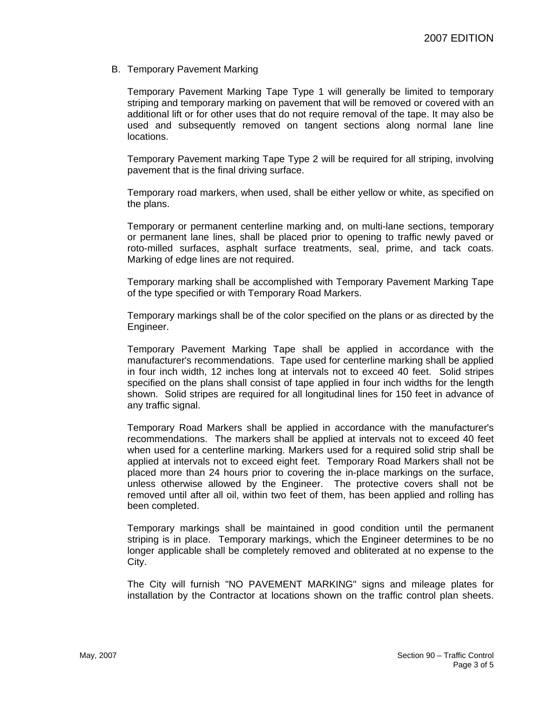B. Temporary Pavement Marking

Temporary Pavement Marking Tape Type 1 will generally be limited to temporary striping and temporary marking on pavement that will be removed or covered with an additional lift or for other uses that do not require removal of the tape. It may also be used and subsequently removed on tangent sections along normal lane line locations.

Temporary Pavement marking Tape Type 2 will be required for all striping, involving pavement that is the final driving surface.

Temporary road markers, when used, shall be either yellow or white, as specified on the plans.

Temporary or permanent centerline marking and, on multi-lane sections, temporary or permanent lane lines, shall be placed prior to opening to traffic newly paved or roto-milled surfaces, asphalt surface treatments, seal, prime, and tack coats. Marking of edge lines are not required.

Temporary marking shall be accomplished with Temporary Pavement Marking Tape of the type specified or with Temporary Road Markers.

Temporary markings shall be of the color specified on the plans or as directed by the Engineer.

Temporary Pavement Marking Tape shall be applied in accordance with the manufacturer's recommendations. Tape used for centerline marking shall be applied in four inch width, 12 inches long at intervals not to exceed 40 feet. Solid stripes specified on the plans shall consist of tape applied in four inch widths for the length shown. Solid stripes are required for all longitudinal lines for 150 feet in advance of any traffic signal.

Temporary Road Markers shall be applied in accordance with the manufacturer's recommendations. The markers shall be applied at intervals not to exceed 40 feet when used for a centerline marking. Markers used for a required solid strip shall be applied at intervals not to exceed eight feet. Temporary Road Markers shall not be placed more than 24 hours prior to covering the in-place markings on the surface, unless otherwise allowed by the Engineer. The protective covers shall not be removed until after all oil, within two feet of them, has been applied and rolling has been completed.

Temporary markings shall be maintained in good condition until the permanent striping is in place. Temporary markings, which the Engineer determines to be no longer applicable shall be completely removed and obliterated at no expense to the City.

The City will furnish "NO PAVEMENT MARKING" signs and mileage plates for installation by the Contractor at locations shown on the traffic control plan sheets.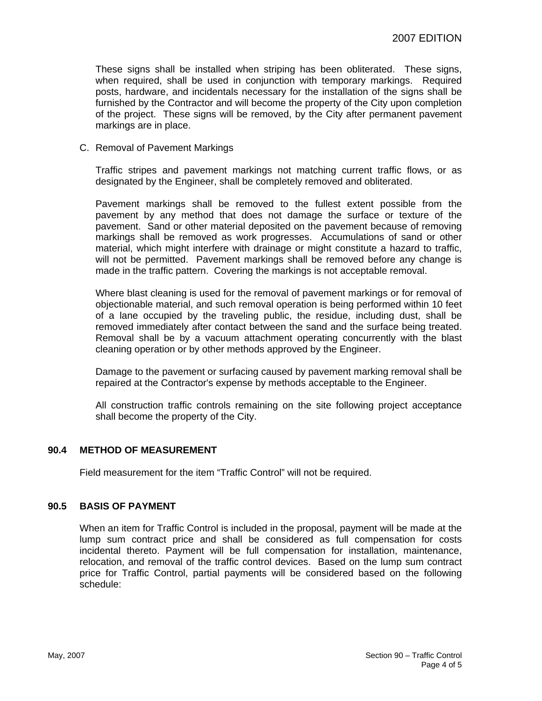These signs shall be installed when striping has been obliterated. These signs, when required, shall be used in conjunction with temporary markings. Required posts, hardware, and incidentals necessary for the installation of the signs shall be furnished by the Contractor and will become the property of the City upon completion of the project. These signs will be removed, by the City after permanent pavement markings are in place.

C. Removal of Pavement Markings

Traffic stripes and pavement markings not matching current traffic flows, or as designated by the Engineer, shall be completely removed and obliterated.

Pavement markings shall be removed to the fullest extent possible from the pavement by any method that does not damage the surface or texture of the pavement. Sand or other material deposited on the pavement because of removing markings shall be removed as work progresses. Accumulations of sand or other material, which might interfere with drainage or might constitute a hazard to traffic, will not be permitted. Pavement markings shall be removed before any change is made in the traffic pattern. Covering the markings is not acceptable removal.

Where blast cleaning is used for the removal of pavement markings or for removal of objectionable material, and such removal operation is being performed within 10 feet of a lane occupied by the traveling public, the residue, including dust, shall be removed immediately after contact between the sand and the surface being treated. Removal shall be by a vacuum attachment operating concurrently with the blast cleaning operation or by other methods approved by the Engineer.

Damage to the pavement or surfacing caused by pavement marking removal shall be repaired at the Contractor's expense by methods acceptable to the Engineer.

All construction traffic controls remaining on the site following project acceptance shall become the property of the City.

### **90.4 METHOD OF MEASUREMENT**

Field measurement for the item "Traffic Control" will not be required.

#### **90.5 BASIS OF PAYMENT**

When an item for Traffic Control is included in the proposal, payment will be made at the lump sum contract price and shall be considered as full compensation for costs incidental thereto. Payment will be full compensation for installation, maintenance, relocation, and removal of the traffic control devices. Based on the lump sum contract price for Traffic Control, partial payments will be considered based on the following schedule: